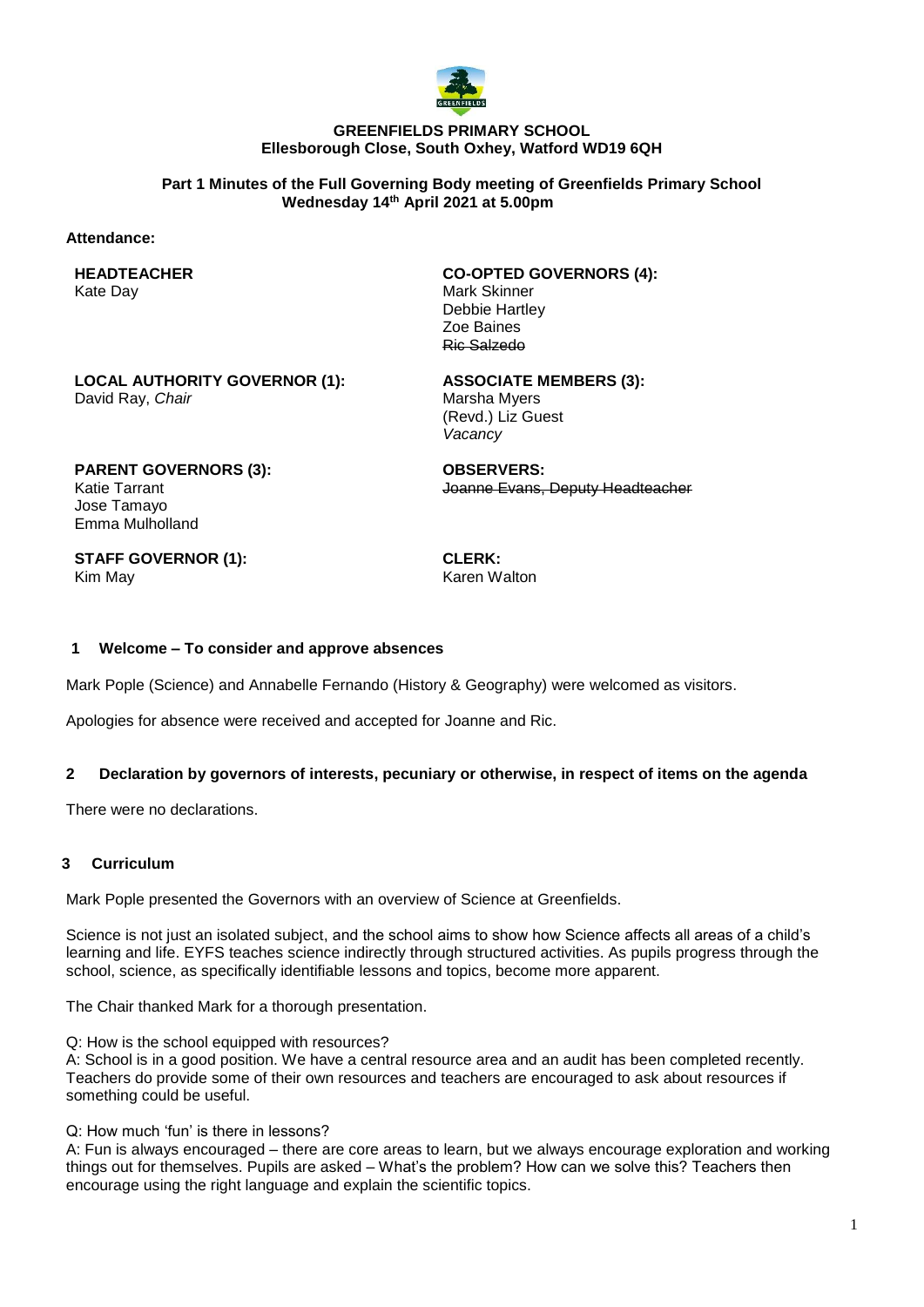

#### **GREENFIELDS PRIMARY SCHOOL Ellesborough Close, South Oxhey, Watford WD19 6QH**

**Part 1 Minutes of the Full Governing Body meeting of Greenfields Primary School Wednesday 14 th April 2021 at 5.00pm**

#### **Attendance:**

**HEADTEACHER** Kate Day

**CO-OPTED GOVERNORS (4):** Mark Skinner Debbie Hartley Zoe Baines Ric Salzedo

**LOCAL AUTHORITY GOVERNOR (1):** David Ray, *Chair*

**ASSOCIATE MEMBERS (3):** Marsha Myers (Revd.) Liz Guest *Vacancy*

**PARENT GOVERNORS (3):** Katie Tarrant Jose Tamayo Emma Mulholland

**OBSERVERS:** Joanne Evans, Deputy Headteacher

**STAFF GOVERNOR (1):** Kim May

**CLERK:** Karen Walton

### **1 Welcome – To consider and approve absences**

Mark Pople (Science) and Annabelle Fernando (History & Geography) were welcomed as visitors.

Apologies for absence were received and accepted for Joanne and Ric.

### **2 Declaration by governors of interests, pecuniary or otherwise, in respect of items on the agenda**

There were no declarations.

## **3 Curriculum**

Mark Pople presented the Governors with an overview of Science at Greenfields.

Science is not just an isolated subject, and the school aims to show how Science affects all areas of a child's learning and life. EYFS teaches science indirectly through structured activities. As pupils progress through the school, science, as specifically identifiable lessons and topics, become more apparent.

The Chair thanked Mark for a thorough presentation.

Q: How is the school equipped with resources?

A: School is in a good position. We have a central resource area and an audit has been completed recently. Teachers do provide some of their own resources and teachers are encouraged to ask about resources if something could be useful.

Q: How much 'fun' is there in lessons?

A: Fun is always encouraged – there are core areas to learn, but we always encourage exploration and working things out for themselves. Pupils are asked – What's the problem? How can we solve this? Teachers then encourage using the right language and explain the scientific topics.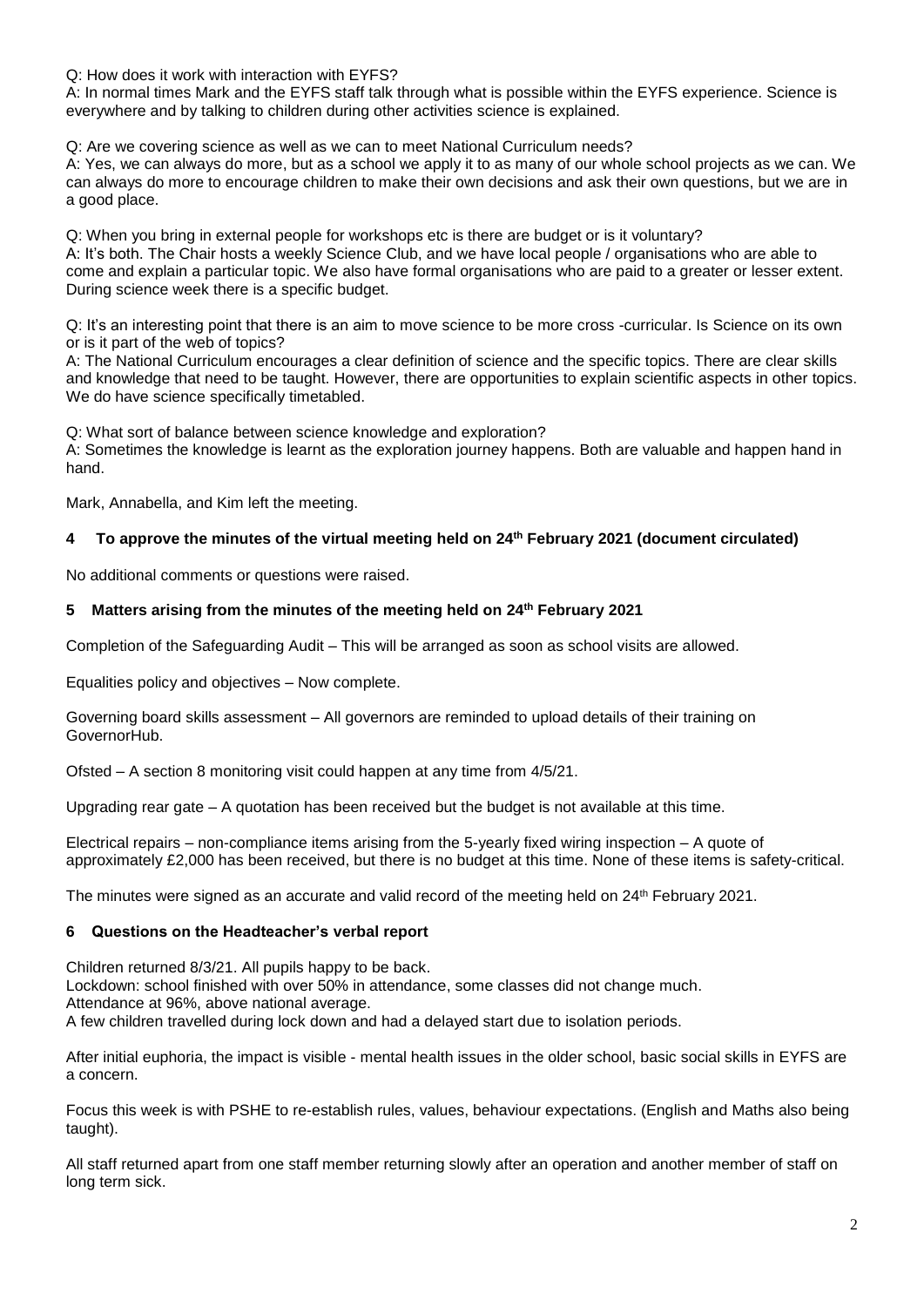Q: How does it work with interaction with EYFS?

A: In normal times Mark and the EYFS staff talk through what is possible within the EYFS experience. Science is everywhere and by talking to children during other activities science is explained.

Q: Are we covering science as well as we can to meet National Curriculum needs?

A: Yes, we can always do more, but as a school we apply it to as many of our whole school projects as we can. We can always do more to encourage children to make their own decisions and ask their own questions, but we are in a good place.

Q: When you bring in external people for workshops etc is there are budget or is it voluntary?

A: It's both. The Chair hosts a weekly Science Club, and we have local people / organisations who are able to come and explain a particular topic. We also have formal organisations who are paid to a greater or lesser extent. During science week there is a specific budget.

Q: It's an interesting point that there is an aim to move science to be more cross -curricular. Is Science on its own or is it part of the web of topics?

A: The National Curriculum encourages a clear definition of science and the specific topics. There are clear skills and knowledge that need to be taught. However, there are opportunities to explain scientific aspects in other topics. We do have science specifically timetabled.

Q: What sort of balance between science knowledge and exploration?

A: Sometimes the knowledge is learnt as the exploration journey happens. Both are valuable and happen hand in hand.

Mark, Annabella, and Kim left the meeting.

# **4 To approve the minutes of the virtual meeting held on 24 th February 2021 (document circulated)**

No additional comments or questions were raised.

# **5 Matters arising from the minutes of the meeting held on 24 th February 2021**

Completion of the Safeguarding Audit – This will be arranged as soon as school visits are allowed.

Equalities policy and objectives – Now complete.

Governing board skills assessment – All governors are reminded to upload details of their training on GovernorHub.

Ofsted – A section 8 monitoring visit could happen at any time from 4/5/21.

Upgrading rear gate – A quotation has been received but the budget is not available at this time.

Electrical repairs – non-compliance items arising from the 5-yearly fixed wiring inspection – A quote of approximately £2,000 has been received, but there is no budget at this time. None of these items is safety-critical.

The minutes were signed as an accurate and valid record of the meeting held on 24th February 2021.

# **6 Questions on the Headteacher's verbal report**

Children returned 8/3/21. All pupils happy to be back. Lockdown: school finished with over 50% in attendance, some classes did not change much. Attendance at 96%, above national average. A few children travelled during lock down and had a delayed start due to isolation periods.

After initial euphoria, the impact is visible - mental health issues in the older school, basic social skills in EYFS are a concern.

Focus this week is with PSHE to re-establish rules, values, behaviour expectations. (English and Maths also being taught).

All staff returned apart from one staff member returning slowly after an operation and another member of staff on long term sick.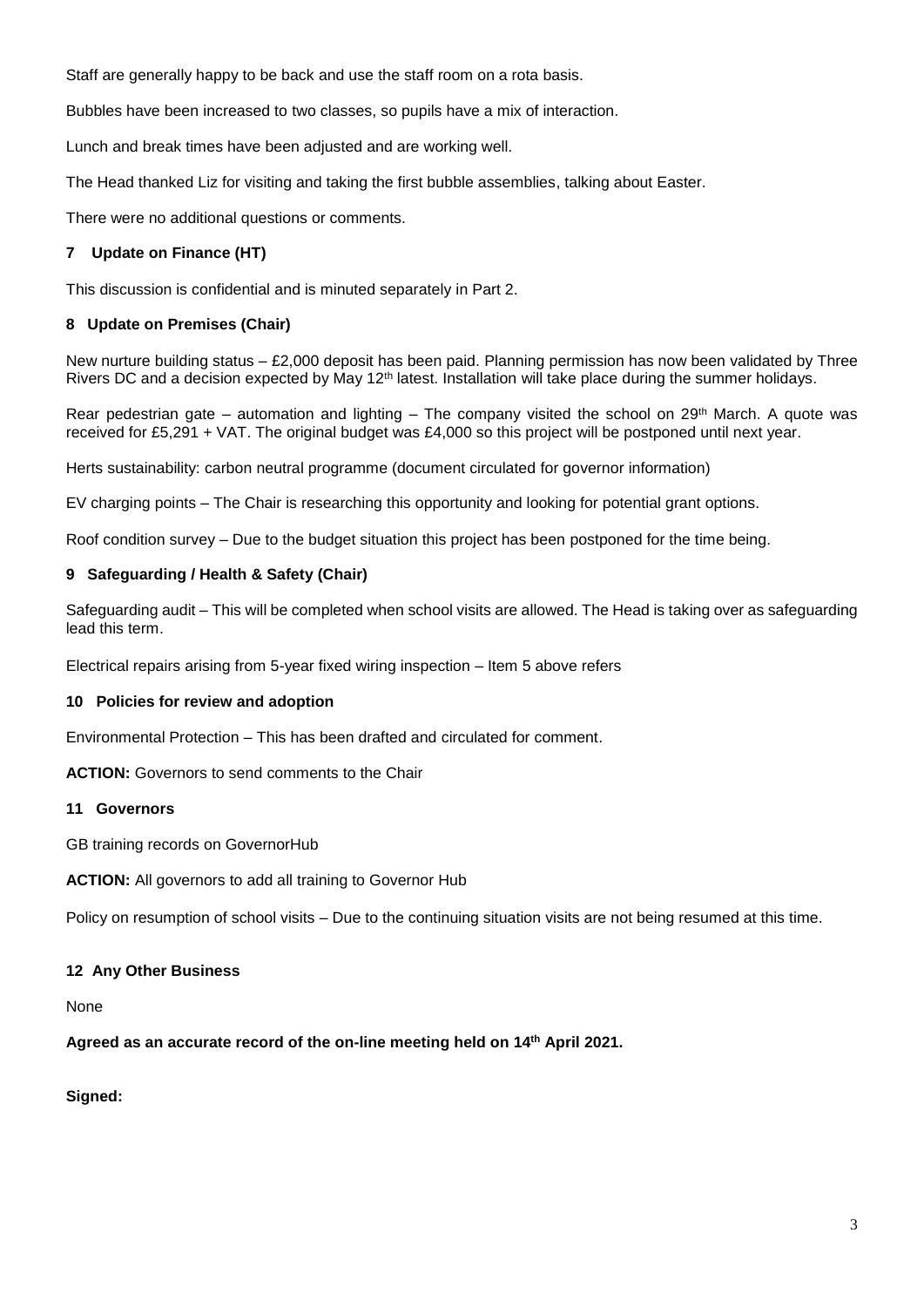Staff are generally happy to be back and use the staff room on a rota basis.

Bubbles have been increased to two classes, so pupils have a mix of interaction.

Lunch and break times have been adjusted and are working well.

The Head thanked Liz for visiting and taking the first bubble assemblies, talking about Easter.

There were no additional questions or comments.

# **7 Update on Finance (HT)**

This discussion is confidential and is minuted separately in Part 2.

# **8 Update on Premises (Chair)**

New nurture building status – £2,000 deposit has been paid. Planning permission has now been validated by Three Rivers DC and a decision expected by May 12<sup>th</sup> latest. Installation will take place during the summer holidays.

Rear pedestrian gate – automation and lighting – The company visited the school on  $29<sup>th</sup>$  March. A quote was received for £5,291 + VAT. The original budget was £4,000 so this project will be postponed until next year.

Herts sustainability: carbon neutral programme (document circulated for governor information)

EV charging points – The Chair is researching this opportunity and looking for potential grant options.

Roof condition survey – Due to the budget situation this project has been postponed for the time being.

### **9 Safeguarding / Health & Safety (Chair)**

Safeguarding audit – This will be completed when school visits are allowed. The Head is taking over as safeguarding lead this term.

Electrical repairs arising from 5-year fixed wiring inspection – Item 5 above refers

#### **10 Policies for review and adoption**

Environmental Protection – This has been drafted and circulated for comment.

**ACTION:** Governors to send comments to the Chair

# **11 Governors**

GB training records on GovernorHub

**ACTION:** All governors to add all training to Governor Hub

Policy on resumption of school visits – Due to the continuing situation visits are not being resumed at this time.

# **12 Any Other Business**

None

**Agreed as an accurate record of the on-line meeting held on 14th April 2021.**

# **Signed:**